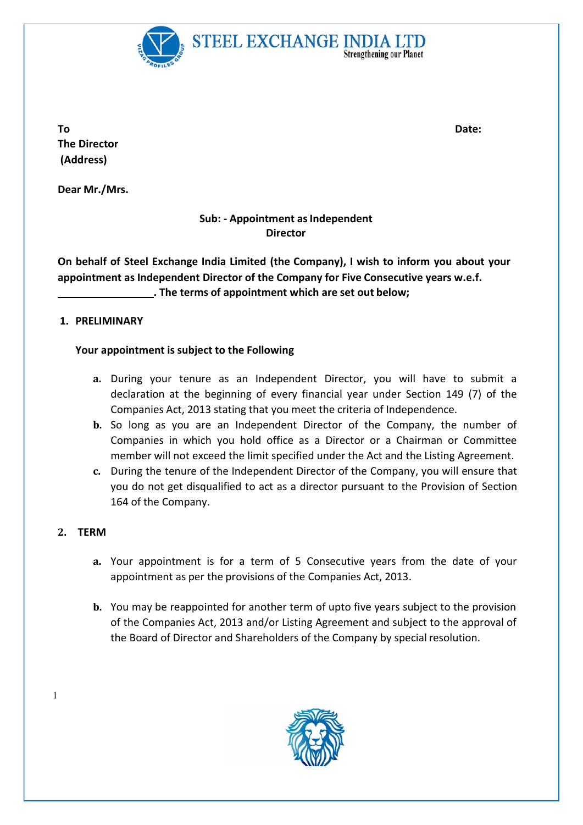

To and the Date: the Date: the Date: the Date: the Date: the Date: the Date: the Date: the Date: the Date: the Date: the Date: the Date: the Date: the Date: the Date: the Date: the Date: the Date: the Date: the Date: the D The Director (Address)

Dear Mr./Mrs.

## Sub: - Appointment as Independent **Director**

On behalf of Steel Exchange India Limited (the Company), I wish to inform you about your appointment as Independent Director of the Company for Five Consecutive years w.e.f. . The terms of appointment which are set out below;

### 1. PRELIMINARY

## Your appointment is subject to the Following

- a. During your tenure as an Independent Director, you will have to submit a declaration at the beginning of every financial year under Section 149 (7) of the Companies Act, 2013 stating that you meet the criteria of Independence.
- b. So long as you are an Independent Director of the Company, the number of Companies in which you hold office as a Director or a Chairman or Committee member will not exceed the limit specified under the Act and the Listing Agreement.
- c. During the tenure of the Independent Director of the Company, you will ensure that you do not get disqualified to act as a director pursuant to the Provision of Section 164 of the Company.

### 2. TERM

1

- a. Your appointment is for a term of 5 Consecutive years from the date of your appointment as per the provisions of the Companies Act, 2013.
- b. You may be reappointed for another term of upto five years subject to the provision of the Companies Act, 2013 and/or Listing Agreement and subject to the approval of the Board of Director and Shareholders of the Company by special resolution.

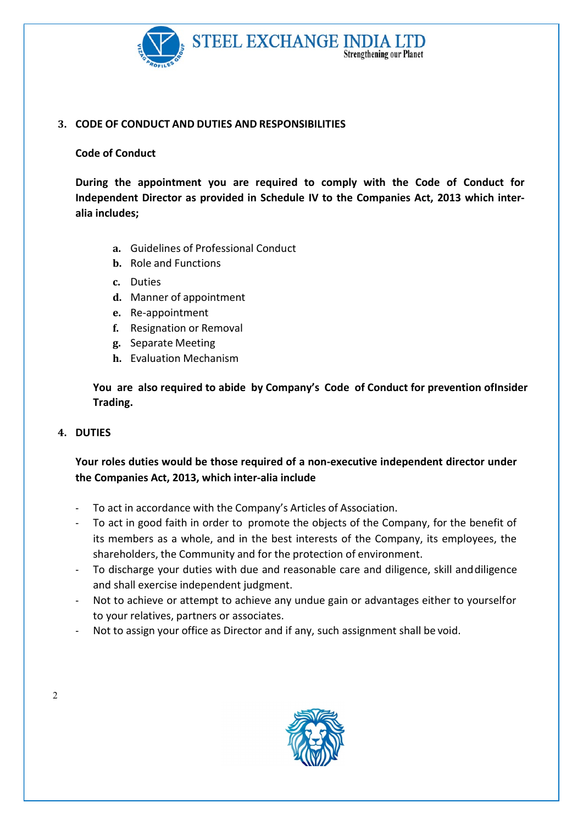

### 3. CODE OF CONDUCT AND DUTIES AND RESPONSIBILITIES

#### Code of Conduct

During the appointment you are required to comply with the Code of Conduct for Independent Director as provided in Schedule IV to the Companies Act, 2013 which interalia includes;

- a. Guidelines of Professional Conduct
- b. Role and Functions
- c. Duties
- d. Manner of appointment
- e. Re-appointment
- f. Resignation or Removal
- g. Separate Meeting
- h. Evaluation Mechanism

You are also required to abide by Company's Code of Conduct for prevention of Insider Trading.

### 4. DUTIES

# Your roles duties would be those required of a non-executive independent director under the Companies Act, 2013, which inter-alia include

- To act in accordance with the Company's Articles of Association.
- To act in good faith in order to promote the objects of the Company, for the benefit of its members as a whole, and in the best interests of the Company, its employees, the shareholders, the Community and for the protection of environment.
- To discharge your duties with due and reasonable care and diligence, skill and diligence and shall exercise independent judgment.
- Not to achieve or attempt to achieve any undue gain or advantages either to yourselfor to your relatives, partners or associates.
- Not to assign your office as Director and if any, such assignment shall be void.



2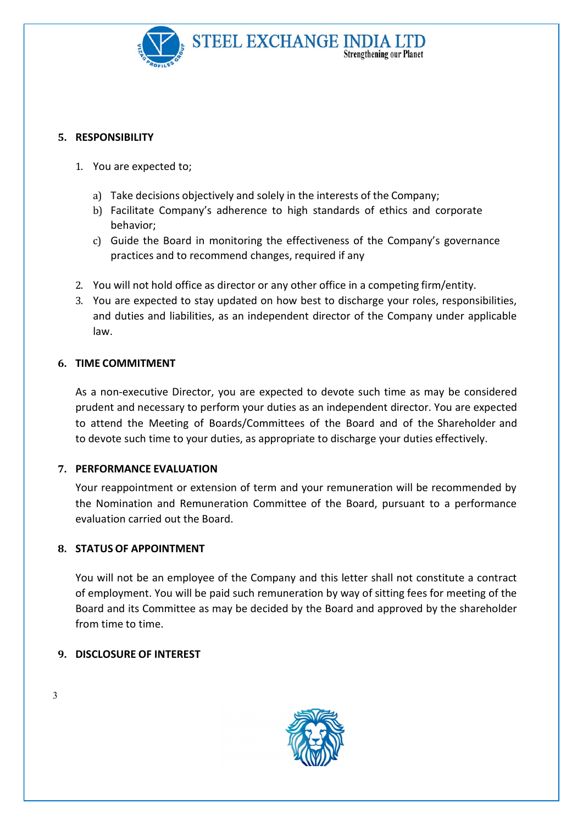

#### 5. RESPONSIBILITY

- 1. You are expected to;
	- a) Take decisions objectively and solely in the interests of the Company;
	- b) Facilitate Company's adherence to high standards of ethics and corporate behavior;
	- c) Guide the Board in monitoring the effectiveness of the Company's governance practices and to recommend changes, required if any
- 2. You will not hold office as director or any other office in a competing firm/entity.
- 3. You are expected to stay updated on how best to discharge your roles, responsibilities, and duties and liabilities, as an independent director of the Company under applicable law.

### 6. TIME COMMITMENT

As a non-executive Director, you are expected to devote such time as may be considered prudent and necessary to perform your duties as an independent director. You are expected to attend the Meeting of Boards/Committees of the Board and of the Shareholder and to devote such time to your duties, as appropriate to discharge your duties effectively.

### 7. PERFORMANCE EVALUATION

Your reappointment or extension of term and your remuneration will be recommended by the Nomination and Remuneration Committee of the Board, pursuant to a performance evaluation carried out the Board.

### 8. STATUS OF APPOINTMENT

You will not be an employee of the Company and this letter shall not constitute a contract of employment. You will be paid such remuneration by way of sitting fees for meeting of the Board and its Committee as may be decided by the Board and approved by the shareholder from time to time.

### 9. DISCLOSURE OF INTEREST



3